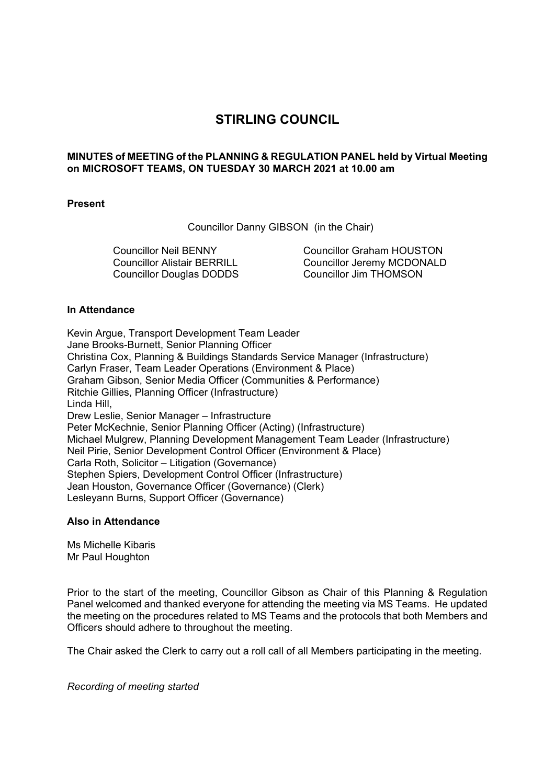# **STIRLING COUNCIL**

# **MINUTES of MEETING of the PLANNING & REGULATION PANEL held by Virtual Meeting on MICROSOFT TEAMS, ON TUESDAY 30 MARCH 2021 at 10.00 am**

# **Present**

Councillor Danny GIBSON (in the Chair)

Councillor Neil BENNY Councillor Alistair BERRILL Councillor Douglas DODDS

Councillor Graham HOUSTON Councillor Jeremy MCDONALD Councillor Jim THOMSON

# **In Attendance**

Kevin Argue, Transport Development Team Leader Jane Brooks-Burnett, Senior Planning Officer Christina Cox, Planning & Buildings Standards Service Manager (Infrastructure) Carlyn Fraser, Team Leader Operations (Environment & Place) Graham Gibson, Senior Media Officer (Communities & Performance) Ritchie Gillies, Planning Officer (Infrastructure) Linda Hill, Drew Leslie, Senior Manager – Infrastructure Peter McKechnie, Senior Planning Officer (Acting) (Infrastructure) Michael Mulgrew, Planning Development Management Team Leader (Infrastructure) Neil Pirie, Senior Development Control Officer (Environment & Place) Carla Roth, Solicitor – Litigation (Governance) Stephen Spiers, Development Control Officer (Infrastructure) Jean Houston, Governance Officer (Governance) (Clerk) Lesleyann Burns, Support Officer (Governance)

## **Also in Attendance**

Ms Michelle Kibaris Mr Paul Houghton

Prior to the start of the meeting, Councillor Gibson as Chair of this Planning & Regulation Panel welcomed and thanked everyone for attending the meeting via MS Teams. He updated the meeting on the procedures related to MS Teams and the protocols that both Members and Officers should adhere to throughout the meeting.

The Chair asked the Clerk to carry out a roll call of all Members participating in the meeting.

*Recording of meeting started*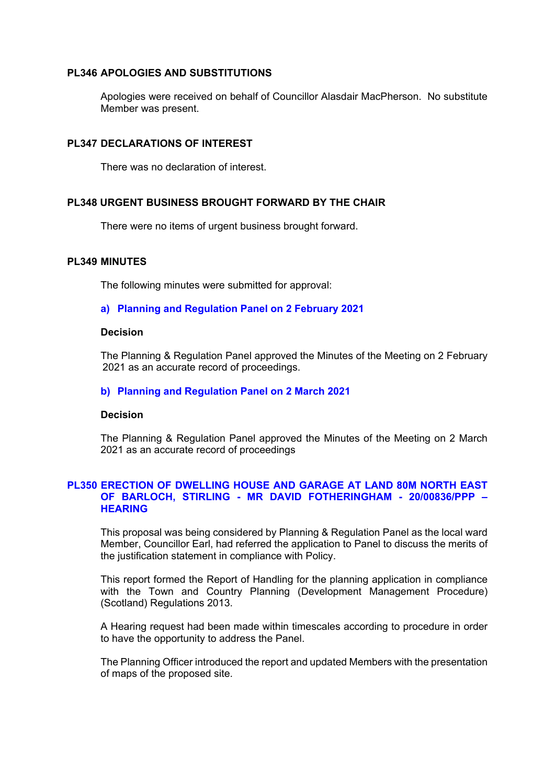## **PL346 APOLOGIES AND SUBSTITUTIONS**

Apologies were received on behalf of Councillor Alasdair MacPherson. No substitute Member was present.

# **PL347 DECLARATIONS OF INTEREST**

There was no declaration of interest.

# **PL348 URGENT BUSINESS BROUGHT FORWARD BY THE CHAIR**

There were no items of urgent business brought forward.

## **PL349 MINUTES**

The following minutes were submitted for approval:

# **a) Planning and Regulation Panel on 2 February 2021**

#### **Decision**

The Planning & Regulation Panel approved the Minutes of the Meeting on 2 February 2021 as an accurate record of proceedings.

## **b) Planning and Regulation Panel on 2 March 2021**

## **Decision**

The Planning & Regulation Panel approved the Minutes of the Meeting on 2 March 2021 as an accurate record of proceedings

# **PL350 ERECTION OF DWELLING HOUSE AND GARAGE AT LAND 80M NORTH EAST OF BARLOCH, STIRLING - MR DAVID FOTHERINGHAM - 20/00836/PPP – HEARING**

This proposal was being considered by Planning & Regulation Panel as the local ward Member, Councillor Earl, had referred the application to Panel to discuss the merits of the justification statement in compliance with Policy.

This report formed the Report of Handling for the planning application in compliance with the Town and Country Planning (Development Management Procedure) (Scotland) Regulations 2013.

A Hearing request had been made within timescales according to procedure in order to have the opportunity to address the Panel.

The Planning Officer introduced the report and updated Members with the presentation of maps of the proposed site.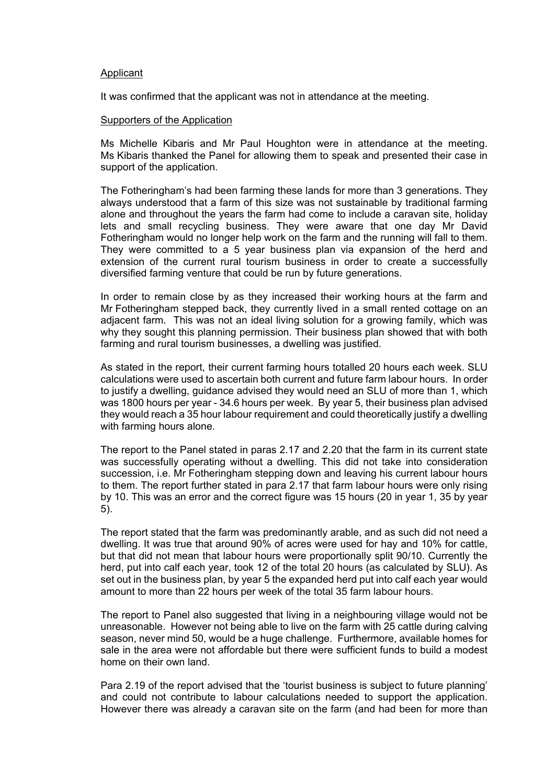#### **Applicant**

It was confirmed that the applicant was not in attendance at the meeting.

#### Supporters of the Application

Ms Michelle Kibaris and Mr Paul Houghton were in attendance at the meeting. Ms Kibaris thanked the Panel for allowing them to speak and presented their case in support of the application.

The Fotheringham's had been farming these lands for more than 3 generations. They always understood that a farm of this size was not sustainable by traditional farming alone and throughout the years the farm had come to include a caravan site, holiday lets and small recycling business. They were aware that one day Mr David Fotheringham would no longer help work on the farm and the running will fall to them. They were committed to a 5 year business plan via expansion of the herd and extension of the current rural tourism business in order to create a successfully diversified farming venture that could be run by future generations.

In order to remain close by as they increased their working hours at the farm and Mr Fotheringham stepped back, they currently lived in a small rented cottage on an adjacent farm. This was not an ideal living solution for a growing family, which was why they sought this planning permission. Their business plan showed that with both farming and rural tourism businesses, a dwelling was justified.

As stated in the report, their current farming hours totalled 20 hours each week. SLU calculations were used to ascertain both current and future farm labour hours. In order to justify a dwelling, guidance advised they would need an SLU of more than 1, which was 1800 hours per year - 34.6 hours per week. By year 5, their business plan advised they would reach a 35 hour labour requirement and could theoretically justify a dwelling with farming hours alone.

The report to the Panel stated in paras 2.17 and 2.20 that the farm in its current state was successfully operating without a dwelling. This did not take into consideration succession, i.e. Mr Fotheringham stepping down and leaving his current labour hours to them. The report further stated in para 2.17 that farm labour hours were only rising by 10. This was an error and the correct figure was 15 hours (20 in year 1, 35 by year 5).

The report stated that the farm was predominantly arable, and as such did not need a dwelling. It was true that around 90% of acres were used for hay and 10% for cattle, but that did not mean that labour hours were proportionally split 90/10. Currently the herd, put into calf each year, took 12 of the total 20 hours (as calculated by SLU). As set out in the business plan, by year 5 the expanded herd put into calf each year would amount to more than 22 hours per week of the total 35 farm labour hours.

The report to Panel also suggested that living in a neighbouring village would not be unreasonable. However not being able to live on the farm with 25 cattle during calving season, never mind 50, would be a huge challenge. Furthermore, available homes for sale in the area were not affordable but there were sufficient funds to build a modest home on their own land.

Para 2.19 of the report advised that the 'tourist business is subject to future planning' and could not contribute to labour calculations needed to support the application. However there was already a caravan site on the farm (and had been for more than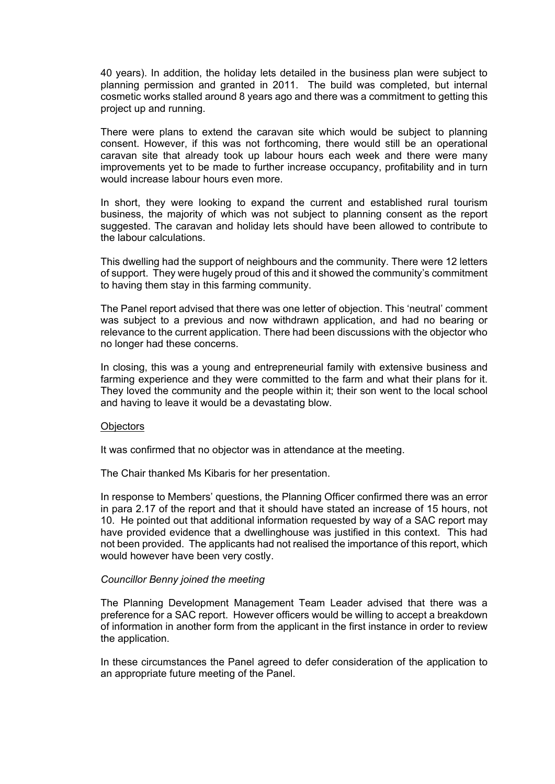40 years). In addition, the holiday lets detailed in the business plan were subject to planning permission and granted in 2011. The build was completed, but internal cosmetic works stalled around 8 years ago and there was a commitment to getting this project up and running.

There were plans to extend the caravan site which would be subject to planning consent. However, if this was not forthcoming, there would still be an operational caravan site that already took up labour hours each week and there were many improvements yet to be made to further increase occupancy, profitability and in turn would increase labour hours even more.

In short, they were looking to expand the current and established rural tourism business, the majority of which was not subject to planning consent as the report suggested. The caravan and holiday lets should have been allowed to contribute to the labour calculations.

This dwelling had the support of neighbours and the community. There were 12 letters of support. They were hugely proud of this and it showed the community's commitment to having them stay in this farming community.

The Panel report advised that there was one letter of objection. This 'neutral' comment was subject to a previous and now withdrawn application, and had no bearing or relevance to the current application. There had been discussions with the objector who no longer had these concerns.

In closing, this was a young and entrepreneurial family with extensive business and farming experience and they were committed to the farm and what their plans for it. They loved the community and the people within it; their son went to the local school and having to leave it would be a devastating blow.

#### **Objectors**

It was confirmed that no objector was in attendance at the meeting.

The Chair thanked Ms Kibaris for her presentation.

In response to Members' questions, the Planning Officer confirmed there was an error in para 2.17 of the report and that it should have stated an increase of 15 hours, not 10. He pointed out that additional information requested by way of a SAC report may have provided evidence that a dwellinghouse was justified in this context. This had not been provided. The applicants had not realised the importance of this report, which would however have been very costly.

## *Councillor Benny joined the meeting*

The Planning Development Management Team Leader advised that there was a preference for a SAC report. However officers would be willing to accept a breakdown of information in another form from the applicant in the first instance in order to review the application.

In these circumstances the Panel agreed to defer consideration of the application to an appropriate future meeting of the Panel.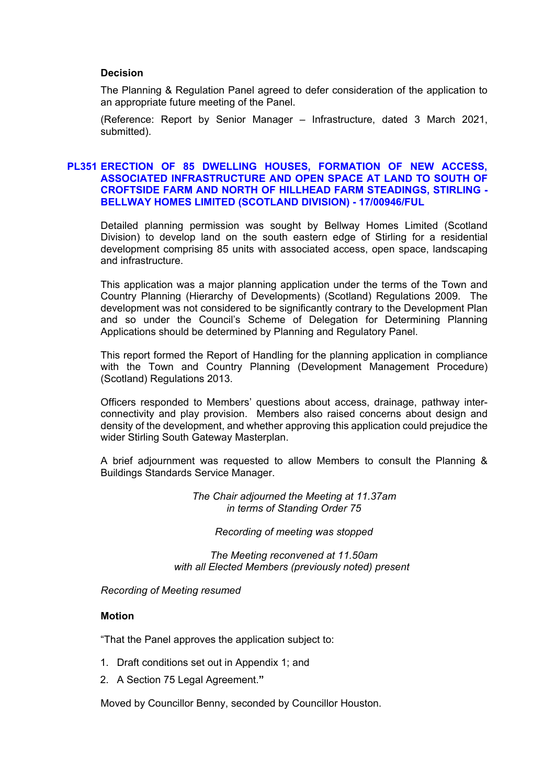## **Decision**

The Planning & Regulation Panel agreed to defer consideration of the application to an appropriate future meeting of the Panel.

(Reference: Report by Senior Manager – Infrastructure, dated 3 March 2021, submitted).

# **PL351 ERECTION OF 85 DWELLING HOUSES, FORMATION OF NEW ACCESS, ASSOCIATED INFRASTRUCTURE AND OPEN SPACE AT LAND TO SOUTH OF CROFTSIDE FARM AND NORTH OF HILLHEAD FARM STEADINGS, STIRLING - BELLWAY HOMES LIMITED (SCOTLAND DIVISION) - 17/00946/FUL**

Detailed planning permission was sought by Bellway Homes Limited (Scotland Division) to develop land on the south eastern edge of Stirling for a residential development comprising 85 units with associated access, open space, landscaping and infrastructure.

This application was a major planning application under the terms of the Town and Country Planning (Hierarchy of Developments) (Scotland) Regulations 2009. The development was not considered to be significantly contrary to the Development Plan and so under the Council's Scheme of Delegation for Determining Planning Applications should be determined by Planning and Regulatory Panel.

This report formed the Report of Handling for the planning application in compliance with the Town and Country Planning (Development Management Procedure) (Scotland) Regulations 2013.

Officers responded to Members' questions about access, drainage, pathway interconnectivity and play provision. Members also raised concerns about design and density of the development, and whether approving this application could prejudice the wider Stirling South Gateway Masterplan.

A brief adjournment was requested to allow Members to consult the Planning & Buildings Standards Service Manager.

> *The Chair adjourned the Meeting at 11.37am in terms of Standing Order 75*

## *Recording of meeting was stopped*

*The Meeting reconvened at 11.50am with all Elected Members (previously noted) present*

*Recording of Meeting resumed* 

## **Motion**

"That the Panel approves the application subject to:

- 1. Draft conditions set out in Appendix 1; and
- 2. A Section 75 Legal Agreement.**"**

Moved by Councillor Benny, seconded by Councillor Houston.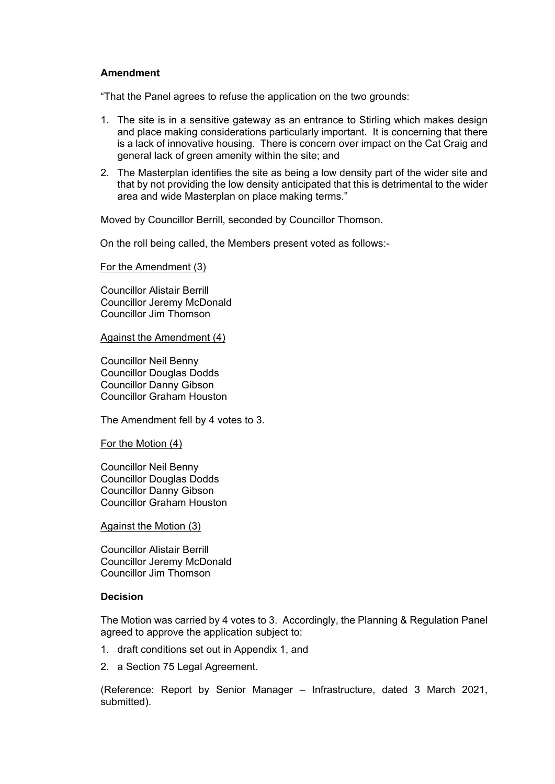# **Amendment**

"That the Panel agrees to refuse the application on the two grounds:

- 1. The site is in a sensitive gateway as an entrance to Stirling which makes design and place making considerations particularly important. It is concerning that there is a lack of innovative housing. There is concern over impact on the Cat Craig and general lack of green amenity within the site; and
- 2. The Masterplan identifies the site as being a low density part of the wider site and that by not providing the low density anticipated that this is detrimental to the wider area and wide Masterplan on place making terms."

Moved by Councillor Berrill, seconded by Councillor Thomson.

On the roll being called, the Members present voted as follows:-

For the Amendment (3)

Councillor Alistair Berrill Councillor Jeremy McDonald Councillor Jim Thomson

Against the Amendment (4)

Councillor Neil Benny Councillor Douglas Dodds Councillor Danny Gibson Councillor Graham Houston

The Amendment fell by 4 votes to 3.

For the Motion (4)

Councillor Neil Benny Councillor Douglas Dodds Councillor Danny Gibson Councillor Graham Houston

Against the Motion (3)

Councillor Alistair Berrill Councillor Jeremy McDonald Councillor Jim Thomson

# **Decision**

The Motion was carried by 4 votes to 3. Accordingly, the Planning & Regulation Panel agreed to approve the application subject to:

- 1. draft conditions set out in Appendix 1, and
- 2. a Section 75 Legal Agreement.

(Reference: Report by Senior Manager – Infrastructure, dated 3 March 2021, submitted).